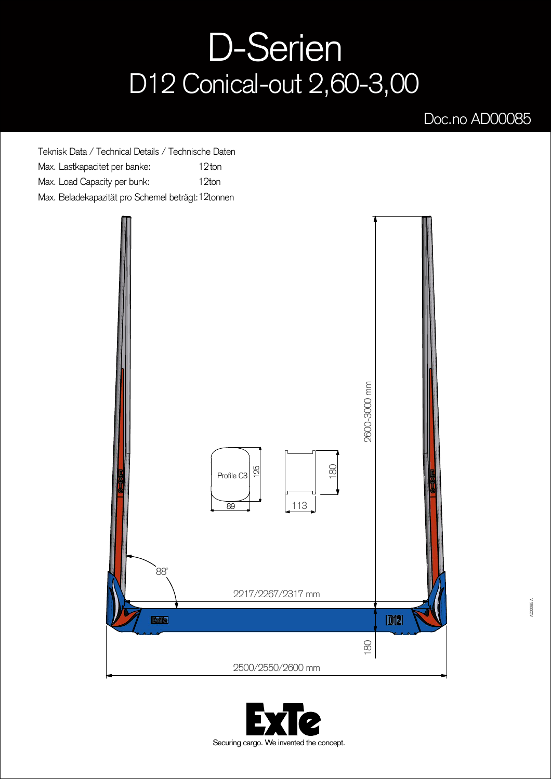## D-Serien D12 Conical-out 2,60-3,00

## Doc.no AD00085

Teknisk Data / Technical Details / Technische Daten Max. Lastkapacitet per banke: 12ton Max. Load Capacity per bunk: 12ton Max. Beladekapazität pro Schemel beträgt: 12tonnen